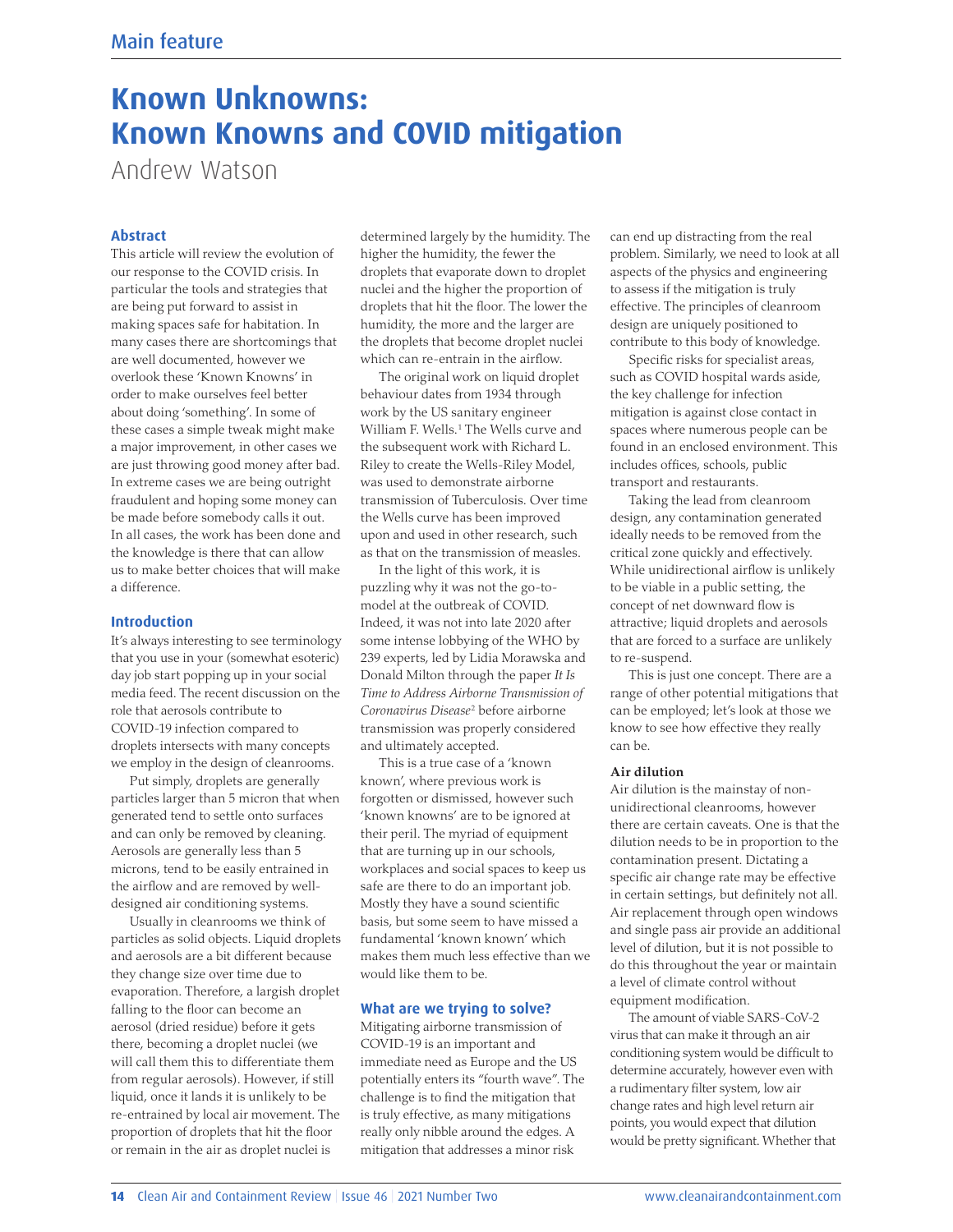# **Known Unknowns: Known Knowns and COVID mitigation**

Andrew Watson

# **Abstract**

This article will review the evolution of our response to the COVID crisis. In particular the tools and strategies that are being put forward to assist in making spaces safe for habitation. In many cases there are shortcomings that are well documented, however we overlook these 'Known Knowns' in order to make ourselves feel better about doing 'something'. In some of these cases a simple tweak might make a major improvement, in other cases we are just throwing good money after bad. In extreme cases we are being outright fraudulent and hoping some money can be made before somebody calls it out. In all cases, the work has been done and the knowledge is there that can allow us to make better choices that will make a difference.

#### **Introduction**

It's always interesting to see terminology that you use in your (somewhat esoteric) day job start popping up in your social media feed. The recent discussion on the role that aerosols contribute to COVID-19 infection compared to droplets intersects with many concepts we employ in the design of cleanrooms.

Put simply, droplets are generally particles larger than 5 micron that when generated tend to settle onto surfaces and can only be removed by cleaning. Aerosols are generally less than 5 microns, tend to be easily entrained in the airflow and are removed by welldesigned air conditioning systems.

Usually in cleanrooms we think of particles as solid objects. Liquid droplets and aerosols are a bit different because they change size over time due to evaporation. Therefore, a largish droplet falling to the floor can become an aerosol (dried residue) before it gets there, becoming a droplet nuclei (we will call them this to differentiate them from regular aerosols). However, if still liquid, once it lands it is unlikely to be re-entrained by local air movement. The proportion of droplets that hit the floor or remain in the air as droplet nuclei is

determined largely by the humidity. The higher the humidity, the fewer the droplets that evaporate down to droplet nuclei and the higher the proportion of droplets that hit the floor. The lower the humidity, the more and the larger are the droplets that become droplet nuclei which can re-entrain in the airflow.

The original work on liquid droplet behaviour dates from 1934 through work by the US sanitary engineer William F. Wells. <sup>1</sup> The Wells curve and the subsequent work with Richard L. Riley to create the Wells-Riley Model, was used to demonstrate airborne transmission of Tuberculosis. Over time the Wells curve has been improved upon and used in other research, such as that on the transmission of measles.

In the light of this work, it is puzzling why it was not the go-tomodel at the outbreak of COVID. Indeed, it was not into late 2020 after some intense lobbying of the WHO by 239 experts, led by Lidia Morawska and Donald Milton through the paper *It Is Time to Address Airborne Transmission of Coronavirus Disease*<sup>2</sup> before airborne transmission was properly considered and ultimately accepted.

This is a true case of a 'known known', where previous work is forgotten or dismissed, however such 'known knowns' are to be ignored at their peril. The myriad of equipment that are turning up in our schools, workplaces and social spaces to keep us safe are there to do an important job. Mostly they have a sound scientific basis, but some seem to have missed a fundamental 'known known' which makes them much less effective than we would like them to be.

#### **What are we trying to solve?**

Mitigating airborne transmission of COVID-19 is an important and immediate need as Europe and the US potentially enters its "fourth wave". The challenge is to find the mitigation that is truly effective, as many mitigations really only nibble around the edges. A mitigation that addresses a minor risk

can end up distracting from the real problem. Similarly, we need to look at all aspects of the physics and engineering to assess if the mitigation is truly effective. The principles of cleanroom design are uniquely positioned to contribute to this body of knowledge.

Specific risks for specialist areas, such as COVID hospital wards aside, the key challenge for infection mitigation is against close contact in spaces where numerous people can be found in an enclosed environment. This includes offices, schools, public transport and restaurants.

Taking the lead from cleanroom design, any contamination generated ideally needs to be removed from the critical zone quickly and effectively. While unidirectional airflow is unlikely to be viable in a public setting, the concept of net downward flow is attractive; liquid droplets and aerosols that are forced to a surface are unlikely to re-suspend.

This is just one concept. There are a range of other potential mitigations that can be employed; let's look at those we know to see how effective they really can be.

### **Air dilution**

Air dilution is the mainstay of nonunidirectional cleanrooms, however there are certain caveats. One is that the dilution needs to be in proportion to the contamination present. Dictating a specific air change rate may be effective in certain settings, but definitely not all. Air replacement through open windows and single pass air provide an additional level of dilution, but it is not possible to do this throughout the year or maintain a level of climate control without equipment modification.

The amount of viable SARS-CoV-2 virus that can make it through an air conditioning system would be difficult to determine accurately, however even with a rudimentary filter system, low air change rates and high level return air points, you would expect that dilution would be pretty significant. Whether that